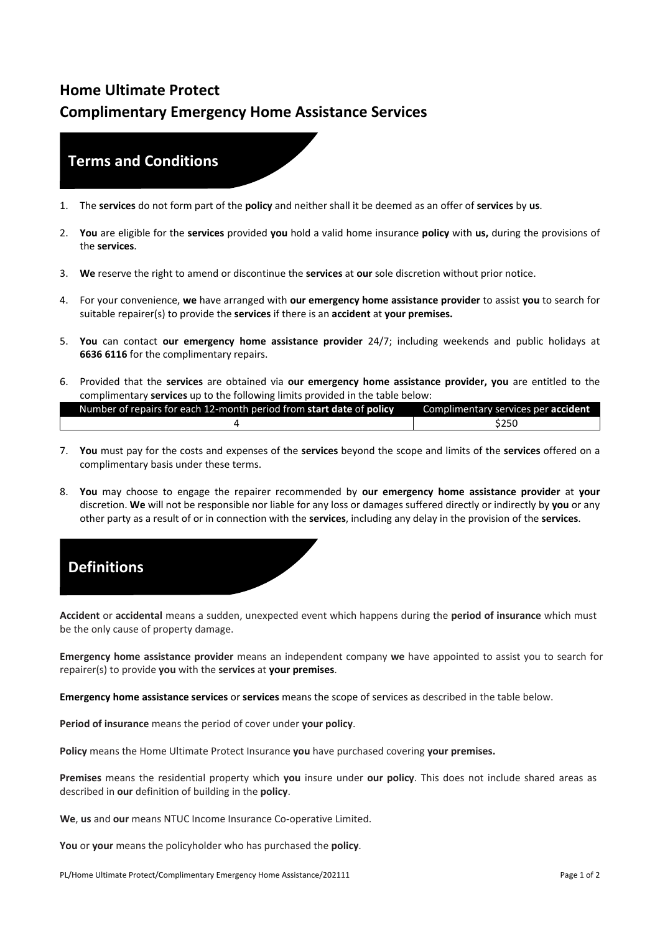## **Home Ultimate Protect Complimentary Emergency Home Assistance Services**

## **Terms and Conditions**

- 1. The **services** do not form part of the **policy** and neither shall it be deemed as an offer of **services** by **us**.
- 2. **You** are eligible for the **services** provided **you** hold a valid home insurance **policy** with **us,** during the provisions of the **services**.
- 3. **We** reserve the right to amend or discontinue the **services** at **our** sole discretion without prior notice.
- 4. For your convenience, **we** have arranged with **our emergency home assistance provider** to assist **you** to search for suitable repairer(s) to provide the **services** if there is an **accident** at **your premises.**
- 5. **You** can contact **our emergency home assistance provider** 24/7; including weekends and public holidays at **6636 6116** for the complimentary repairs.
- 6. Provided that the **services** are obtained via **our emergency home assistance provider, you** are entitled to the complimentary **services** up to the following limits provided in the table below:

| Number of repairs for each 12-month period from start date of policy | Complimentary services per accident |
|----------------------------------------------------------------------|-------------------------------------|
|                                                                      | \$250                               |

- 7. **You** must pay for the costs and expenses of the **services** beyond the scope and limits of the **services** offered on a complimentary basis under these terms.
- 8. **You** may choose to engage the repairer recommended by **our emergency home assistance provider** at **your** discretion. **We** will not be responsible nor liable for any loss or damages suffered directly or indirectly by **you** or any other party as a result of or in connection with the **services**, including any delay in the provision of the **services**.

## **Definitions**

**Accident** or **accidental** means a sudden, unexpected event which happens during the **period of insurance** which must be the only cause of property damage.

**Emergency home assistance provider** means an independent company **we** have appointed to assist you to search for repairer(s) to provide **you** with the **services** at **your premises**.

**Emergency home assistance services** or **services** means the scope of services as described in the table below.

**Period of insurance** means the period of cover under **your policy**.

**Policy** means the Home Ultimate Protect Insurance **you** have purchased covering **your premises.**

**Premises** means the residential property which **you** insure under **our policy**. This does not include shared areas as described in **our** definition of building in the **policy**.

**We**, **us** and **our** means NTUC Income Insurance Co-operative Limited.

**You** or **your** means the policyholder who has purchased the **policy**.